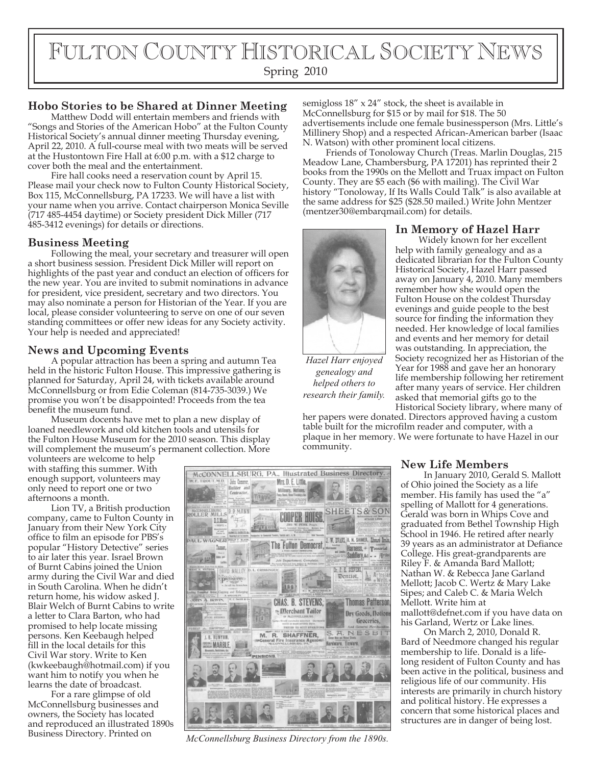# FULTON COUNTY HISTORICAL SOCIETY NEWS

Spring 2010

## **Hobo Stories to be Shared at Dinner Meeting**

Matthew Dodd will entertain members and friends with "Songs and Stories of the American Hobo" at the Fulton County Historical Society's annual dinner meeting Thursday evening, April 22, 2010. A full-course meal with two meats will be served at the Hustontown Fire Hall at 6:00 p.m. with a \$12 charge to cover both the meal and the entertainment.

Fire hall cooks need a reservation count by April 15. Please mail your check now to Fulton County Historical Society, Box 115, McConnellsburg, PA 17233. We will have a list with your name when you arrive. Contact chairperson Monica Seville (717 485-4454 daytime) or Society president Dick Miller (717 485-3412 evenings) for details or directions.

#### **Business Meeting**

Following the meal, your secretary and treasurer will open a short business session. President Dick Miller will report on highlights of the past year and conduct an election of officers for the new year. You are invited to submit nominations in advance for president, vice president, secretary and two directors. You may also nominate a person for Historian of the Year. If you are local, please consider volunteering to serve on one of our seven standing committees or offer new ideas for any Society activity. Your help is needed and appreciated!

### **News and Upcoming Events**

A popular attraction has been a spring and autumn Tea held in the historic Fulton House. This impressive gathering is planned for Saturday, April 24, with tickets available around McConnellsburg or from Edie Coleman (814-735-3039.) We promise you won't be disappointed! Proceeds from the tea benefit the museum fund.

Museum docents have met to plan a new display of loaned needlework and old kitchen tools and utensils for the Fulton House Museum for the 2010 season. This display will complement the museum's permanent collection. More

volunteers are welcome to help with staffing this summer. With enough support, volunteers may only need to report one or two afternoons a month.

Lion TV, a British production company, came to Fulton County in January from their New York City office to film an episode for PBS's popular "History Detective" series to air later this year. Israel Brown of Burnt Cabins joined the Union army during the Civil War and died in South Carolina. When he didn't return home, his widow asked J. Blair Welch of Burnt Cabins to write a letter to Clara Barton, who had promised to help locate missing persons. Ken Keebaugh helped fill in the local details for this Civil War story. Write to Ken (kwkeebaugh@hotmail.com) if you want him to notify you when he learns the date of broadcast.

For a rare glimpse of old McConnellsburg businesses and owners, the Society has located and reproduced an illustrated 1890s Business Directory. Printed on

semigloss 18" x 24" stock, the sheet is available in McConnellsburg for \$15 or by mail for \$18. The 50 advertisements include one female businessperson (Mrs. Little's Millinery Shop) and a respected African-American barber (Isaac N. Watson) with other prominent local citizens.

Friends of Tonoloway Church (Treas. Marlin Douglas, 215 Meadow Lane, Chambersburg, PA 17201) has reprinted their 2 books from the 1990s on the Mellott and Truax impact on Fulton County. They are \$5 each (\$6 with mailing). The Civil War history "Tonoloway, If Its Walls Could Talk" is also available at the same address for \$25 (\$28.50 mailed.) Write John Mentzer (mentzer30@embarqmail.com) for details.



*Hazel Harr enjoyed genealogy and helped others to research their family.*

### **In Memory of Hazel Harr**

Widely known for her excellent help with family genealogy and as a dedicated librarian for the Fulton County Historical Society, Hazel Harr passed away on January 4, 2010. Many members remember how she would open the Fulton House on the coldest Thursday evenings and guide people to the best source for finding the information they needed. Her knowledge of local families and events and her memory for detail was outstanding. In appreciation, the Society recognized her as Historian of the Year for 1988 and gave her an honorary life membership following her retirement after many years of service. Her children asked that memorial gifts go to the

Historical Society library, where many of her papers were donated. Directors approved having a custom table built for the microfilm reader and computer, with a plaque in her memory. We were fortunate to have Hazel in our community.

### **New Life Members**

In January 2010, Gerald S. Mallott of Ohio joined the Society as a life member. His family has used the "a" spelling of Mallott for 4 generations. Gerald was born in Whips Cove and graduated from Bethel Township High School in 1946. He retired after nearly 39 years as an administrator at Defiance College. His great-grandparents are Riley F. & Amanda Bard Mallott; Nathan W. & Rebecca Jane Garland Mellott; Jacob C. Wertz & Mary Lake Sipes; and Caleb C. & Maria Welch Mellott. Write him at mallott@defnet.com if you have data on his Garland, Wertz or Lake lines.

On March 2, 2010, Donald R. Bard of Needmore changed his regular membership to life. Donald is a lifelong resident of Fulton County and has been active in the political, business and religious life of our community. His interests are primarily in church history and political history. He expresses a concern that some historical places and structures are in danger of being lost.



*McConnellsburg Business Directory from the 1890s.*